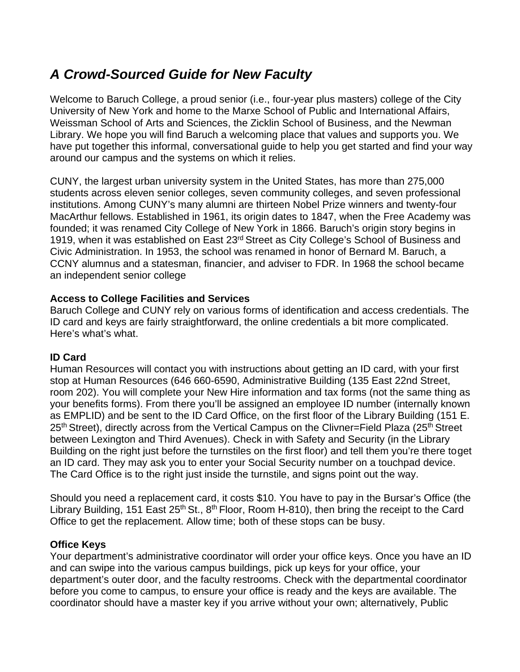# *A Crowd-Sourced Guide for New Faculty*

Welcome to Baruch College, a proud senior (i.e., four-year plus masters) college of the City University of New York and home to the Marxe School of Public and International Affairs, Weissman School of Arts and Sciences, the Zicklin School of Business, and the Newman Library. We hope you will find Baruch a welcoming place that values and supports you. We have put together this informal, conversational guide to help you get started and find your way around our campus and the systems on which it relies.

CUNY, the largest urban university system in the United States, has more than 275,000 students across eleven senior colleges, seven community colleges, and seven professional institutions. Among CUNY's many alumni are thirteen Nobel Prize winners and twenty-four MacArthur fellows. Established in 1961, its origin dates to 1847, when the Free Academy was founded; it was renamed City College of New York in 1866. Baruch's origin story begins in 1919, when it was established on East 23rd Street as City College's School of Business and Civic Administration. In 1953, the school was renamed in honor of Bernard M. Baruch, a CCNY alumnus and a statesman, financier, and adviser to FDR. In 1968 the school became an independent senior college

## **Access to College Facilities and Services**

Baruch College and CUNY rely on various forms of identification and access credentials. The ID card and keys are fairly straightforward, the online credentials a bit more complicated. Here's what's what.

# **ID Card**

Human Resources will contact you with instructions about getting an ID card, with your first stop at Human Resources (646 660-6590, Administrative Building (135 East 22nd Street, room 202). You will complete your New Hire information and tax forms (not the same thing as your benefits forms). From there you'll be assigned an employee ID number (internally known as EMPLID) and be sent to the ID Card Office, on the first floor of the Library Building (151 E. 25<sup>th</sup> Street), directly across from the Vertical Campus on the Clivner=Field Plaza (25<sup>th</sup> Street between Lexington and Third Avenues). Check in with Safety and Security (in the Library Building on the right just before the turnstiles on the first floor) and tell them you're there toget an ID card. They may ask you to enter your Social Security number on a touchpad device. The Card Office is to the right just inside the turnstile, and signs point out the way.

Should you need a replacement card, it costs \$10. You have to pay in the Bursar's Office (the Library Building, 151 East  $25<sup>th</sup>$  St.,  $8<sup>th</sup>$  Floor, Room H-810), then bring the receipt to the Card Office to get the replacement. Allow time; both of these stops can be busy.

## **Office Keys**

Your department's administrative coordinator will order your office keys. Once you have an ID and can swipe into the various campus buildings, pick up keys for your office, your department's outer door, and the faculty restrooms. Check with the departmental coordinator before you come to campus, to ensure your office is ready and the keys are available. The coordinator should have a master key if you arrive without your own; alternatively, Public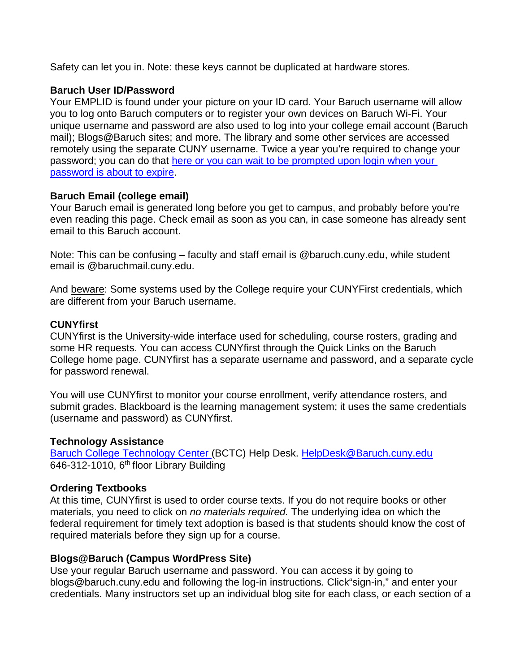Safety can let you in. Note: these keys cannot be duplicated at hardware stores.

## **Baruch User ID/Password**

Your EMPLID is found under your picture on your ID card. Your Baruch username will allow you to log onto Baruch computers or to register your own devices on Baruch Wi-Fi. Your unique username and password are also used to log into your college email account (Baruch mail); Blogs@Baruch sites; and more. The library and some other services are accessed remotely using the separate CUNY username. Twice a year you're required to change your password; you can do that [here or you can wait to be prompted upon login when your](https://mypassword.baruch.cuny.edu/?_ga=2.171759968.1516037674.1643818145-704584631.1582917129)  [password is about to expire.](https://mypassword.baruch.cuny.edu/?_ga=2.171759968.1516037674.1643818145-704584631.1582917129)

## **Baruch Email (college email)**

Your Baruch email is generated long before you get to campus, and probably before you're even reading this page. Check email as soon as you can, in case someone has already sent email to this Baruch account.

Note: This can be confusing – faculty and staff email is @baruch.cuny.edu, while student email is @baruchmail.cuny.edu.

And beware: Some systems used by the College require your CUNYFirst credentials, which are different from your Baruch username.

## **CUNYfirst**

CUNYfirst is the University-wide interface used for scheduling, course rosters, grading and some HR requests. You can access CUNYfirst through the Quick Links on the Baruch College home page. CUNYfirst has a separate username and password, and a separate cycle for password renewal.

You will use CUNYfirst to monitor your course enrollment, verify attendance rosters, and submit grades. Blackboard is the learning management system; it uses the same credentials (username and password) as CUNYfirst.

# **Technology Assistance**

[Baruch College Technology Center](https://bctc.baruch.cuny.edu/) (BCTC) Help Desk. [HelpDesk@Baruch.cuny.edu](mailto:HelpDesk@Baruch.cuny.edu) 646-312-1010, 6th floor Library Building

# **Ordering Textbooks**

At this time, CUNYfirst is used to order course texts. If you do not require books or other materials, you need to click on *no materials required.* The underlying idea on which the federal requirement for timely text adoption is based is that students should know the cost of required materials before they sign up for a course.

# **Blogs@Baruch (Campus WordPress Site)**

Use your regular Baruch username and password. You can access it by going to [blogs@baruch.cuny.edu](mailto:blogs@baruch.cuny.edu) and following the log-in instructions*.* Click"sign-in," and enter your credentials. Many instructors set up an individual blog site for each class, or each section of a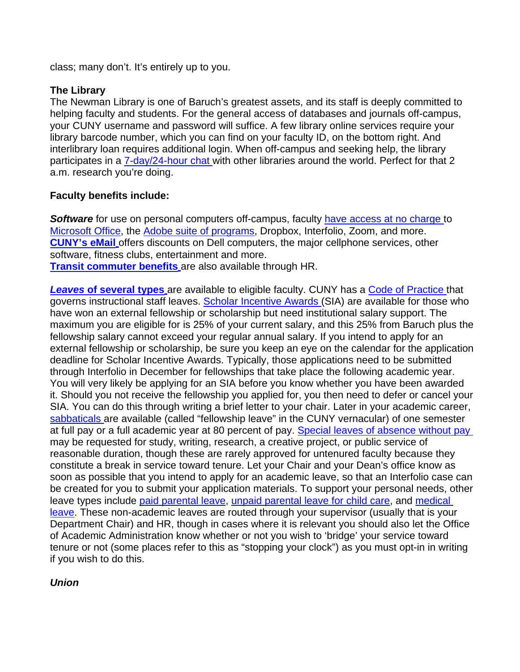class; many don't. It's entirely up to you.

## **The Library**

The Newman Library is one of Baruch's greatest assets, and its staff is deeply committed to helping faculty and students. For the general access of databases and journals off-campus, your CUNY username and password will suffice. A few library online services require your library barcode number, which you can find on your faculty ID, on the bottom right. And interlibrary loan requires additional login. When off-campus and seeking help, the library participates in a [7-day/24-hour chat](https://library.baruch.cuny.edu/help/) with other libraries around the world. Perfect for that 2 a.m. research you're doing.

## **Faculty benefits include:**

**Software** for use on personal computers off-campus, faculty have [access](https://bctc.baruch.cuny.edu/facultyandstaff/software/) at no charge to [Microsoft Office,](https://www.cuny.edu/about/administration/offices/cis/technology-services/office-pro-plus/) the [Adobe suite of programs,](https://bctc.baruch.cuny.edu/facultyandstaff/software/adobe-creative-cloud/) Dropbox, Interfolio, Zoom, and more. **[CUNY's eMail](https://ssologin.cuny.edu/cuny.html?resource_url=https%3A%2F%2Foffers.cuny.edu%252F)** offers discounts on Dell computers, the major cellphone services, other software, fitness clubs, entertainment and more.

**[Transit commuter benefits](https://hr.baruch.cuny.edu/transit-program/)** are also available through HR.

**Leaves [of several types](https://provost.baruch.cuny.edu/academic-affairs/academic-administration/faculty-leaves/)** are available to eligible faculty. CUNY has a [Code of Practice](https://www.cuny.edu/about/administration/offices/hr/policies-and-procedures/) that governs instructional staff leaves. [Scholar Incentive Awards](https://provost.baruch.cuny.edu/academic-affairs/academic-administration/faculty-leaves/) (SIA) are available for those who have won an external fellowship or scholarship but need institutional salary support. The maximum you are eligible for is 25% of your current salary, and this 25% from Baruch plus the fellowship salary cannot exceed your regular annual salary. If you intend to apply for an external fellowship or scholarship, be sure you keep an eye on the calendar for the application deadline for Scholar Incentive Awards. Typically, those applications need to be submitted through Interfolio in December for fellowships that take place the following academic year. You will very likely be applying for an SIA before you know whether you have been awarded it. Should you not receive the fellowship you applied for, you then need to defer or cancel your SIA. You can do this through writing a brief letter to your chair. Later in your academic career, [sabbaticals](https://provost.baruch.cuny.edu/academic-affairs/academic-administration/faculty-leaves/) are available (called "fellowship leave" in the CUNY vernacular) of one semester at full pay or a full academic year at 80 percent of pay. [Special leaves of absence without pay](https://provost.baruch.cuny.edu/academic-affairs/academic-administration/faculty-leaves/) may be requested for study, writing, research, a creative project, or public service of reasonable duration, though these are rarely approved for untenured faculty because they constitute a break in service toward tenure. Let your Chair and your Dean's office know as soon as possible that you intend to apply for an academic leave, so that an Interfolio case can be created for you to submit your application materials. To support your personal needs, other leave types include [paid parental leave, unpaid parental leave for child care,](https://hr.baruch.cuny.edu/parental-leave/) and [medical](https://hr.baruch.cuny.edu/benefits/)  [leave.](https://hr.baruch.cuny.edu/benefits/) These non-academic leaves are routed through your supervisor (usually that is your Department Chair) and HR, though in cases where it is relevant you should also let the Office of Academic Administration know whether or not you wish to 'bridge' your service toward tenure or not (some places refer to this as "stopping your clock") as you must opt-in in writing if you wish to do this.

# *Union*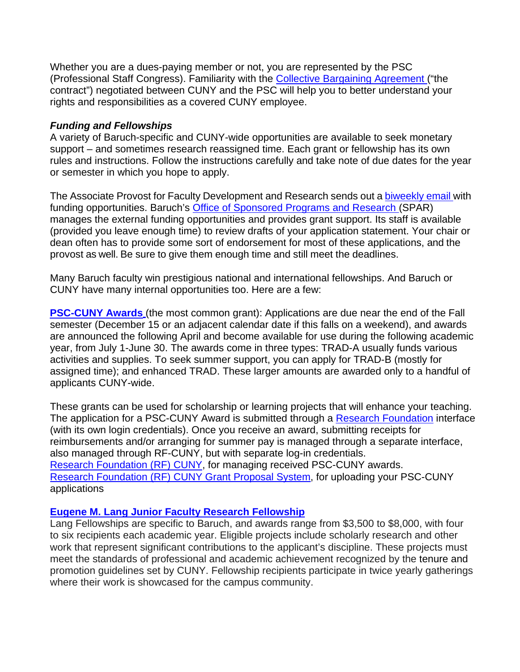Whether you are a dues-paying member or not, you are represented by the PSC (Professional Staff Congress). Familiarity with the [Collective Bargaining Agreement](https://www.cuny.edu/about/administration/offices/labor-relations/labor-contracts/) ("the contract") negotiated between CUNY and the PSC will help you to better understand your rights and responsibilities as a covered CUNY employee.

## *Funding and Fellowships*

A variety of Baruch-specific and CUNY-wide opportunities are available to seek monetary support – and sometimes research reassigned time. Each grant or fellowship has its own rules and instructions. Follow the instructions carefully and take note of due dates for the year or semester in which you hope to apply.

The Associate Provost for Faculty Development and Research sends out a [biweekly](https://provost.baruch.cuny.edu/messages/department/associate-provost-aar/) email with funding opportunities. Baruch's [Office of Sponsored Programs and Research](https://spar.baruch.cuny.edu/) (SPAR) manages the external funding opportunities and provides grant support. Its staff is available (provided you leave enough time) to review drafts of your application statement. Your chair or dean often has to provide some sort of endorsement for most of these applications, and the provost as well. Be sure to give them enough time and still meet the deadlines.

Many Baruch faculty win prestigious national and international fellowships. And Baruch or CUNY have many internal opportunities too. Here are a few:

**[PSC-CUNY Awards](https://psc-cuny.org/benefits/psc-cuny-research-award-program#:%7E:text=PSC-CUNY%20Research%20Award%20Program%20%28Administered%20by%20the%20CUNY,support%20of%20research%20and%20to%20leverage%20external%20funding.)** (the most common grant): Applications are due near the end of the Fall semester (December 15 or an adjacent calendar date if this falls on a weekend), and awards are announced the following April and become available for use during the following academic year, from July 1-June 30. The awards come in three types: TRAD-A usually funds various activities and supplies. To seek summer support, you can apply for TRAD-B (mostly for assigned time); and enhanced TRAD. These larger amounts are awarded only to a handful of applicants CUNY-wide.

These grants can be used for scholarship or learning projects that will enhance your teaching. The application for a PSC-CUNY Award is submitted through a [Research Foundation](https://www.rfcuny.org/RFWebsite/) interface (with its own login credentials). Once you receive an award, submitting receipts for reimbursements and/or arranging for summer pay is managed through a separate interface, also managed through RF-CUNY, but with separate log-in credentials. [Research Foundation \(RF\) CUNY,](https://www.rfcuny.org/RFWebsite/) for managing received PSC-CUNY awards. [Research Foundation \(RF\) CUNY Grant Proposal System,](https://www.rfcuny.org/gp/welcome.aspx) for uploading your PSC-CUNY applications

## **[Eugene M. Lang Junior Faculty Research Fellowship](https://spar.baruch.cuny.edu/elang/)**

Lang Fellowships are specific to Baruch, and awards range from \$3,500 to \$8,000, with four to six recipients each academic year. Eligible projects include scholarly research and other work that represent significant contributions to the applicant's discipline. These projects must meet the standards of professional and academic achievement recognized by the tenure and promotion guidelines set by CUNY. Fellowship recipients participate in twice yearly gatherings where their work is showcased for the campus community.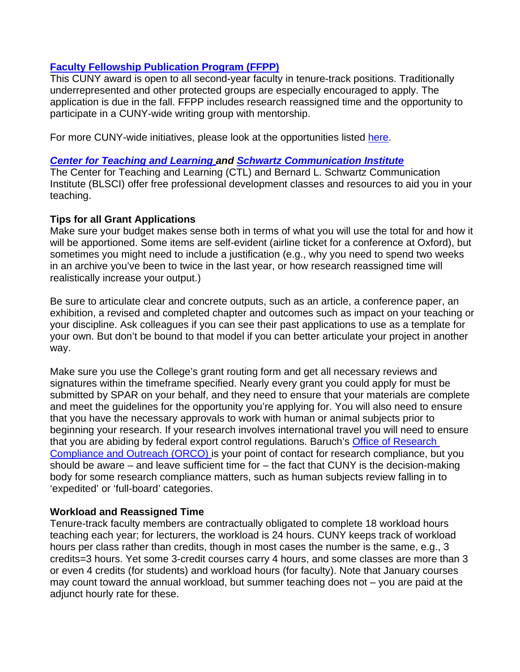## **[Faculty Fellowship Publication Program \(FFPP\)](https://www.cuny.edu/about/administration/offices/hr/recruitment-diversity/innovative-inclusive-programming/faculty-fellowship-publication-program/)**

This CUNY award is open to all second-year faculty in tenure-track positions. Traditionally underrepresented and other protected groups are especially encouraged to apply. The application is due in the fall. FFPP includes research reassigned time and the opportunity to participate in a CUNY-wide writing group with mentorship.

For more CUNY-wide initiatives, please look at the opportunities listed [here.](https://www.cuny.edu/research/research-development-programs/faculty-programs/internal-funding/)

## *[Center for Teaching and Learning](https://blogs.baruch.cuny.edu/ctl/) and [Schwartz Communication Institute](https://blogs.baruch.cuny.edu/blsci/)*

The Center for Teaching and Learning (CTL) and Bernard L. Schwartz Communication Institute (BLSCI) offer free professional development classes and resources to aid you in your teaching.

## **Tips for all Grant Applications**

Make sure your budget makes sense both in terms of what you will use the total for and how it will be apportioned. Some items are self-evident (airline ticket for a conference at Oxford), but sometimes you might need to include a justification (e.g., why you need to spend two weeks in an archive you've been to twice in the last year, or how research reassigned time will realistically increase your output.)

Be sure to articulate clear and concrete outputs, such as an article, a conference paper, an exhibition, a revised and completed chapter and outcomes such as impact on your teaching or your discipline. Ask colleagues if you can see their past applications to use as a template for your own. But don't be bound to that model if you can better articulate your project in another way.

Make sure you use the College's grant routing form and get all necessary reviews and signatures within the timeframe specified. Nearly every grant you could apply for must be submitted by SPAR on your behalf, and they need to ensure that your materials are complete and meet the guidelines for the opportunity you're applying for. You will also need to ensure that you have the necessary approvals to work with human or animal subjects prior to beginning your research. If your research involves international travel you will need to ensure that you are abiding by federal export control regulations. Baruch's [Office of Research](https://orco.baruch.cuny.edu/)  [Compliance and Outreach \(ORCO\)](https://orco.baruch.cuny.edu/) is your point of contact for research compliance, but you should be aware – and leave sufficient time for – the fact that CUNY is the decision-making body for some research compliance matters, such as human subjects review falling in to 'expedited' or 'full-board' categories.

## **Workload and Reassigned Time**

Tenure-track faculty members are contractually obligated to complete 18 workload hours teaching each year; for lecturers, the workload is 24 hours. CUNY keeps track of workload hours per class rather than credits, though in most cases the number is the same, e.g., 3 credits=3 hours. Yet some 3-credit courses carry 4 hours, and some classes are more than 3 or even 4 credits (for students) and workload hours (for faculty). Note that January courses may count toward the annual workload, but summer teaching does not – you are paid at the adjunct hourly rate for these.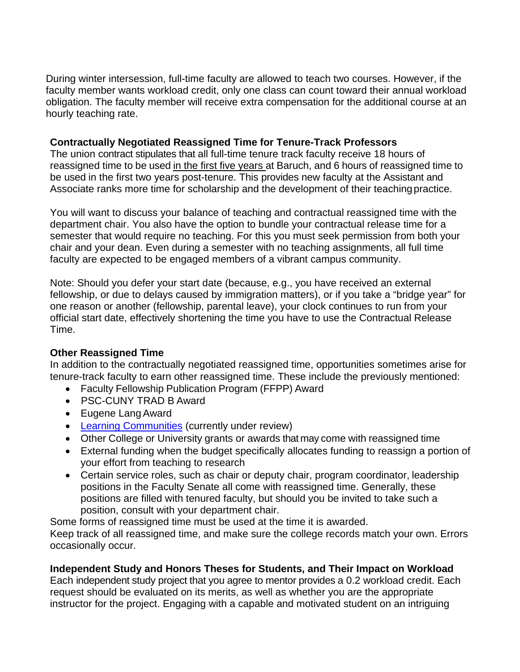During winter intersession, full-time faculty are allowed to teach two courses. However, if the faculty member wants workload credit, only one class can count toward their annual workload obligation. The faculty member will receive extra compensation for the additional course at an hourly teaching rate.

## **Contractually Negotiated Reassigned Time for Tenure-Track Professors**

The union contract stipulates that all full-time tenure track faculty receive 18 hours of reassigned time to be used in the first five years at Baruch, and 6 hours of reassigned time to be used in the first two years post-tenure. This provides new faculty at the Assistant and Associate ranks more time for scholarship and the development of their teachingpractice.

You will want to discuss your balance of teaching and contractual reassigned time with the department chair. You also have the option to bundle your contractual release time for a semester that would require no teaching. For this you must seek permission from both your chair and your dean. Even during a semester with no teaching assignments, all full time faculty are expected to be engaged members of a vibrant campus community.

Note: Should you defer your start date (because, e.g., you have received an external fellowship, or due to delays caused by immigration matters), or if you take a "bridge year" for one reason or another (fellowship, parental leave), your clock continues to run from your official start date, effectively shortening the time you have to use the Contractual Release Time.

## **Other Reassigned Time**

In addition to the contractually negotiated reassigned time, opportunities sometimes arise for tenure-track faculty to earn other reassigned time. These include the previously mentioned:

- Faculty Fellowship Publication Program (FFPP) Award
- PSC-CUNY TRAD B Award
- Eugene Lang Award
- [Learning Communities](https://provost.baruch.cuny.edu/wp-content/uploads/sites/5/2019/11/Learning-Communities-Handbook.pdf) (currently under review)
- Other College or University grants or awards that may come with reassigned time
- External funding when the budget specifically allocates funding to reassign a portion of your effort from teaching to research
- Certain service roles, such as chair or deputy chair, program coordinator, leadership positions in the Faculty Senate all come with reassigned time. Generally, these positions are filled with tenured faculty, but should you be invited to take such a position, consult with your department chair.

Some forms of reassigned time must be used at the time it is awarded. Keep track of all reassigned time, and make sure the college records match your own. Errors occasionally occur.

# **Independent Study and Honors Theses for Students, and Their Impact on Workload**

Each independent study project that you agree to mentor provides a 0.2 workload credit. Each request should be evaluated on its merits, as well as whether you are the appropriate instructor for the project. Engaging with a capable and motivated student on an intriguing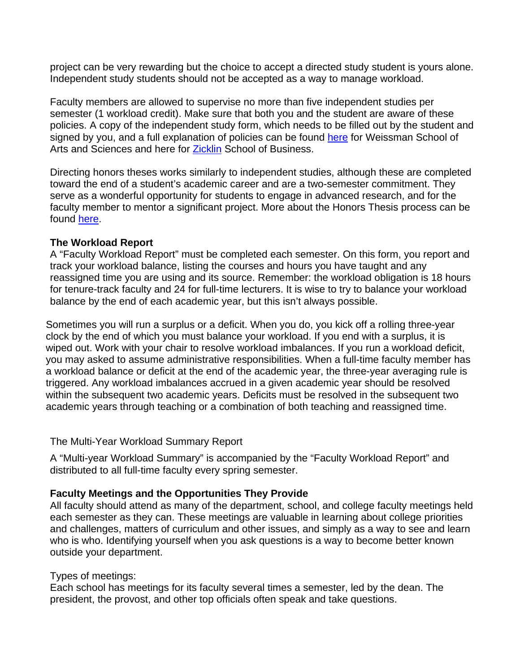project can be very rewarding but the choice to accept a directed study student is yours alone. Independent study students should not be accepted as a way to manage workload.

Faculty members are allowed to supervise no more than five independent studies per semester (1 workload credit). Make sure that both you and the student are aware of these policies. A copy of the independent study form, which needs to be filled out by the student and signed by you, and a full explanation of policies can be found [here](https://weissman.baruch.cuny.edu/wp-content/uploads/sites/20/2020/09/RevWSAS_IndStudy5.2020-1.pdf) for Weissman School of Arts and Sciences and here for [Zicklin](https://zicklin.baruch.cuny.edu/wp-content/uploads/sites/10/2019/07/IndependentStudy_rev20190711.pdf) School of Business.

Directing honors theses works similarly to independent studies, although these are completed toward the end of a student's academic career and are a two-semester commitment. They serve as a wonderful opportunity for students to engage in advanced research, and for the faculty member to mentor a significant project. More about the Honors Thesis process can be found [here.](https://guides.newman.baruch.cuny.edu/honorstheses)

#### **The Workload Report**

A "Faculty Workload Report" must be completed each semester. On this form, you report and track your workload balance, listing the courses and hours you have taught and any reassigned time you are using and its source. Remember: the workload obligation is 18 hours for tenure-track faculty and 24 for full-time lecturers. It is wise to try to balance your workload balance by the end of each academic year, but this isn't always possible.

Sometimes you will run a surplus or a deficit. When you do, you kick off a rolling three-year clock by the end of which you must balance your workload. If you end with a surplus, it is wiped out. Work with your chair to resolve workload imbalances. If you run a workload deficit, you may asked to assume administrative responsibilities. When a full-time faculty member has a workload balance or deficit at the end of the academic year, the three-year averaging rule is triggered. Any workload imbalances accrued in a given academic year should be resolved within the subsequent two academic years. Deficits must be resolved in the subsequent two academic years through teaching or a combination of both teaching and reassigned time.

## The Multi-Year Workload Summary Report

A "Multi-year Workload Summary" is accompanied by the "Faculty Workload Report" and distributed to all full-time faculty every spring semester.

## **Faculty Meetings and the Opportunities They Provide**

All faculty should attend as many of the department, school, and college faculty meetings held each semester as they can. These meetings are valuable in learning about college priorities and challenges, matters of curriculum and other issues, and simply as a way to see and learn who is who. Identifying yourself when you ask questions is a way to become better known outside your department.

## Types of meetings:

Each school has meetings for its faculty several times a semester, led by the dean. The president, the provost, and other top officials often speak and take questions.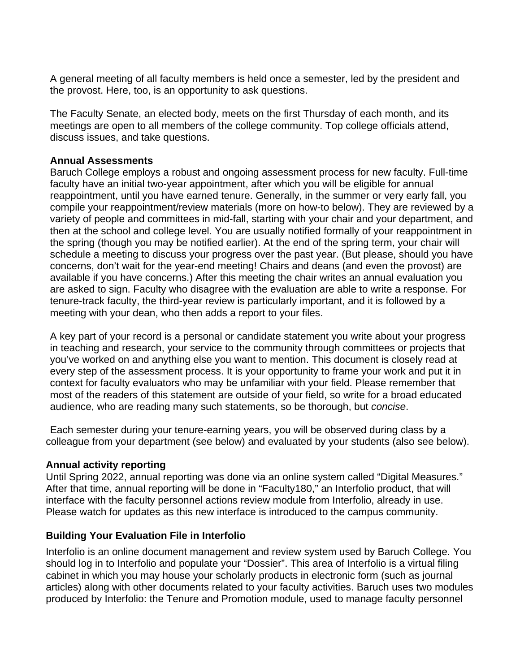A general meeting of all faculty members is held once a semester, led by the president and the provost. Here, too, is an opportunity to ask questions.

The Faculty Senate, an elected body, meets on the first Thursday of each month, and its meetings are open to all members of the college community. Top college officials attend, discuss issues, and take questions.

## **Annual Assessments**

Baruch College employs a robust and ongoing assessment process for new faculty. Full-time faculty have an initial two-year appointment, after which you will be eligible for annual reappointment, until you have earned tenure. Generally, in the summer or very early fall, you compile your reappointment/review materials (more on how-to below). They are reviewed by a variety of people and committees in mid-fall, starting with your chair and your department, and then at the school and college level. You are usually notified formally of your reappointment in the spring (though you may be notified earlier). At the end of the spring term, your chair will schedule a meeting to discuss your progress over the past year. (But please, should you have concerns, don't wait for the year-end meeting! Chairs and deans (and even the provost) are available if you have concerns.) After this meeting the chair writes an annual evaluation you are asked to sign. Faculty who disagree with the evaluation are able to write a response. For tenure-track faculty, the third-year review is particularly important, and it is followed by a meeting with your dean, who then adds a report to your files.

A key part of your record is a personal or candidate statement you write about your progress in teaching and research, your service to the community through committees or projects that you've worked on and anything else you want to mention. This document is closely read at every step of the assessment process. It is your opportunity to frame your work and put it in context for faculty evaluators who may be unfamiliar with your field. Please remember that most of the readers of this statement are outside of your field, so write for a broad educated audience, who are reading many such statements, so be thorough, but *concise*.

Each semester during your tenure-earning years, you will be observed during class by a colleague from your department (see below) and evaluated by your students (also see below).

## **Annual activity reporting**

Until Spring 2022, annual reporting was done via an online system called "Digital Measures." After that time, annual reporting will be done in "Faculty180," an Interfolio product, that will interface with the faculty personnel actions review module from Interfolio, already in use. Please watch for updates as this new interface is introduced to the campus community.

## **Building Your Evaluation File in Interfolio**

Interfolio is an online document management and review system used by Baruch College. You should log in to Interfolio and populate your "Dossier". This area of Interfolio is a virtual filing cabinet in which you may house your scholarly products in electronic form (such as journal articles) along with other documents related to your faculty activities. Baruch uses two modules produced by Interfolio: the Tenure and Promotion module, used to manage faculty personnel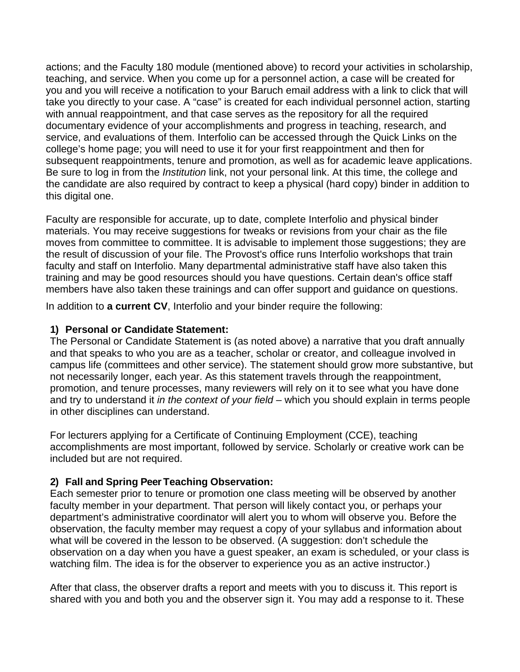actions; and the Faculty 180 module (mentioned above) to record your activities in scholarship, teaching, and service. When you come up for a personnel action, a case will be created for you and you will receive a notification to your Baruch email address with a link to click that will take you directly to your case. A "case" is created for each individual personnel action, starting with annual reappointment, and that case serves as the repository for all the required documentary evidence of your accomplishments and progress in teaching, research, and service, and evaluations of them. Interfolio can be accessed through the Quick Links on the college's home page; you will need to use it for your first reappointment and then for subsequent reappointments, tenure and promotion, as well as for academic leave applications. Be sure to log in from the *Institution* link, not your personal link. At this time, the college and the candidate are also required by contract to keep a physical (hard copy) binder in addition to this digital one.

Faculty are responsible for accurate, up to date, complete Interfolio and physical binder materials. You may receive suggestions for tweaks or revisions from your chair as the file moves from committee to committee. It is advisable to implement those suggestions; they are the result of discussion of your file. The Provost's office runs Interfolio workshops that train faculty and staff on Interfolio. Many departmental administrative staff have also taken this training and may be good resources should you have questions. Certain dean's office staff members have also taken these trainings and can offer support and guidance on questions.

In addition to **a current CV**, Interfolio and your binder require the following:

## **1) Personal or Candidate Statement:**

The Personal or Candidate Statement is (as noted above) a narrative that you draft annually and that speaks to who you are as a teacher, scholar or creator, and colleague involved in campus life (committees and other service). The statement should grow more substantive, but not necessarily longer, each year. As this statement travels through the reappointment, promotion, and tenure processes, many reviewers will rely on it to see what you have done and try to understand it *in the context of your field* – which you should explain in terms people in other disciplines can understand.

For lecturers applying for a Certificate of Continuing Employment (CCE), teaching accomplishments are most important, followed by service. Scholarly or creative work can be included but are not required.

# **2) Fall and Spring Peer Teaching Observation:**

Each semester prior to tenure or promotion one class meeting will be observed by another faculty member in your department. That person will likely contact you, or perhaps your department's administrative coordinator will alert you to whom will observe you. Before the observation, the faculty member may request a copy of your syllabus and information about what will be covered in the lesson to be observed. (A suggestion: don't schedule the observation on a day when you have a guest speaker, an exam is scheduled, or your class is watching film. The idea is for the observer to experience you as an active instructor.)

After that class, the observer drafts a report and meets with you to discuss it. This report is shared with you and both you and the observer sign it. You may add a response to it. These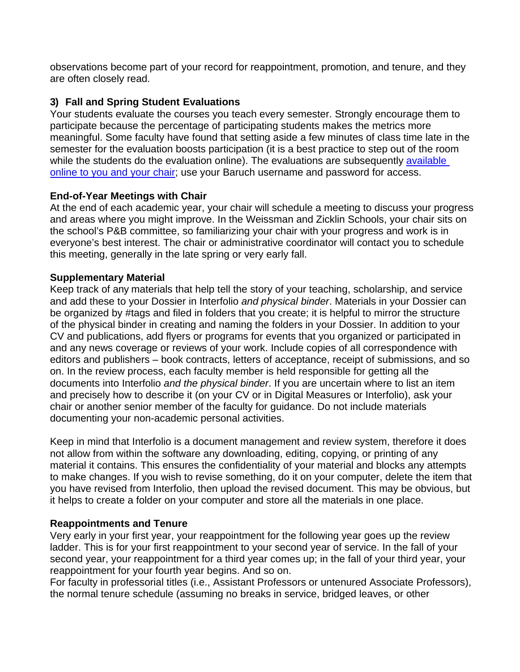observations become part of your record for reappointment, promotion, and tenure, and they are often closely read.

# **3) Fall and Spring Student Evaluations**

Your students evaluate the courses you teach every semester. Strongly encourage them to participate because the percentage of participating students makes the metrics more meaningful. Some faculty have found that setting aside a few minutes of class time late in the semester for the evaluation boosts participation (it is a best practice to step out of the room while the students do the evaluation online). The evaluations are subsequently available [online to you and your chair;](https://enrollmentmanagement.baruch.cuny.edu/evaluations/) use your Baruch username and password for access.

## **End-of-Year Meetings with Chair**

At the end of each academic year, your chair will schedule a meeting to discuss your progress and areas where you might improve. In the Weissman and Zicklin Schools, your chair sits on the school's P&B committee, so familiarizing your chair with your progress and work is in everyone's best interest. The chair or administrative coordinator will contact you to schedule this meeting, generally in the late spring or very early fall.

## **Supplementary Material**

Keep track of any materials that help tell the story of your teaching, scholarship, and service and add these to your Dossier in Interfolio *and physical binder*. Materials in your Dossier can be organized by #tags and filed in folders that you create; it is helpful to mirror the structure of the physical binder in creating and naming the folders in your Dossier. In addition to your CV and publications, add flyers or programs for events that you organized or participated in and any news coverage or reviews of your work. Include copies of all correspondence with editors and publishers – book contracts, letters of acceptance, receipt of submissions, and so on. In the review process, each faculty member is held responsible for getting all the documents into Interfolio *and the physical binder*. If you are uncertain where to list an item and precisely how to describe it (on your CV or in Digital Measures or Interfolio), ask your chair or another senior member of the faculty for guidance. Do not include materials documenting your non-academic personal activities.

Keep in mind that Interfolio is a document management and review system, therefore it does not allow from within the software any downloading, editing, copying, or printing of any material it contains. This ensures the confidentiality of your material and blocks any attempts to make changes. If you wish to revise something, do it on your computer, delete the item that you have revised from Interfolio, then upload the revised document. This may be obvious, but it helps to create a folder on your computer and store all the materials in one place.

## **Reappointments and Tenure**

Very early in your first year, your reappointment for the following year goes up the review ladder. This is for your first reappointment to your second year of service. In the fall of your second year, your reappointment for a third year comes up; in the fall of your third year, your reappointment for your fourth year begins. And so on.

For faculty in professorial titles (i.e., Assistant Professors or untenured Associate Professors), the normal tenure schedule (assuming no breaks in service, bridged leaves, or other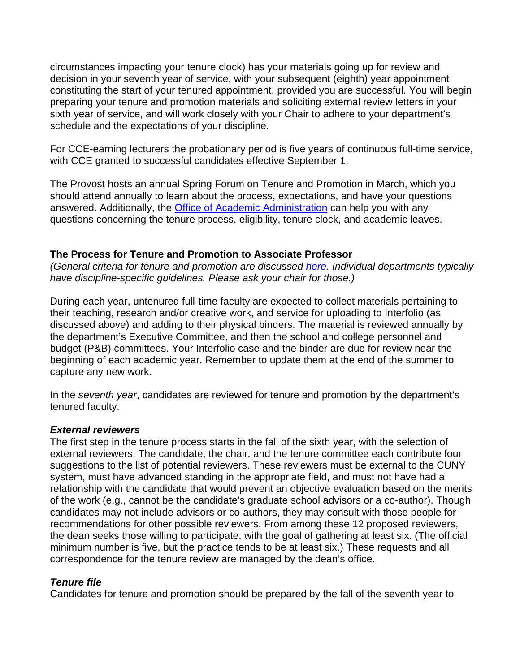circumstances impacting your tenure clock) has your materials going up for review and decision in your seventh year of service, with your subsequent (eighth) year appointment constituting the start of your tenured appointment, provided you are successful. You will begin preparing your tenure and promotion materials and soliciting external review letters in your sixth year of service, and will work closely with your Chair to adhere to your department's schedule and the expectations of your discipline.

For CCE-earning lecturers the probationary period is five years of continuous full-time service, with CCE granted to successful candidates effective September 1.

The Provost hosts an annual Spring Forum on Tenure and Promotion in March, which you should attend annually to learn about the process, expectations, and have your questions answered. Additionally, the [Office of Academic Administration](https://provost.baruch.cuny.edu/academic-affairs/academic-administration/) can help you with any questions concerning the tenure process, eligibility, tenure clock, and academic leaves.

## **The Process for Tenure and Promotion to Associate Professor**

*(General criteria for tenure and promotion are discussed [here.](https://provost.baruch.cuny.edu/academic-affairs/academic-administration/reappointment-tenure-promotion-and-cce/) Individual departments typically have discipline-specific guidelines. Please ask your chair for those.)*

During each year, untenured full-time faculty are expected to collect materials pertaining to their teaching, research and/or creative work, and service for uploading to Interfolio (as discussed above) and adding to their physical binders. The material is reviewed annually by the department's Executive Committee, and then the school and college personnel and budget (P&B) committees. Your Interfolio case and the binder are due for review near the beginning of each academic year. Remember to update them at the end of the summer to capture any new work.

In the *seventh year*, candidates are reviewed for tenure and promotion by the department's tenured faculty.

## *External reviewers*

The first step in the tenure process starts in the fall of the sixth year, with the selection of external reviewers. The candidate, the chair, and the tenure committee each contribute four suggestions to the list of potential reviewers. These reviewers must be external to the CUNY system, must have advanced standing in the appropriate field, and must not have had a relationship with the candidate that would prevent an objective evaluation based on the merits of the work (e.g., cannot be the candidate's graduate school advisors or a co-author). Though candidates may not include advisors or co-authors, they may consult with those people for recommendations for other possible reviewers. From among these 12 proposed reviewers, the dean seeks those willing to participate, with the goal of gathering at least six. (The official minimum number is five, but the practice tends to be at least six.) These requests and all correspondence for the tenure review are managed by the dean's office.

# *Tenure file*

Candidates for tenure and promotion should be prepared by the fall of the seventh year to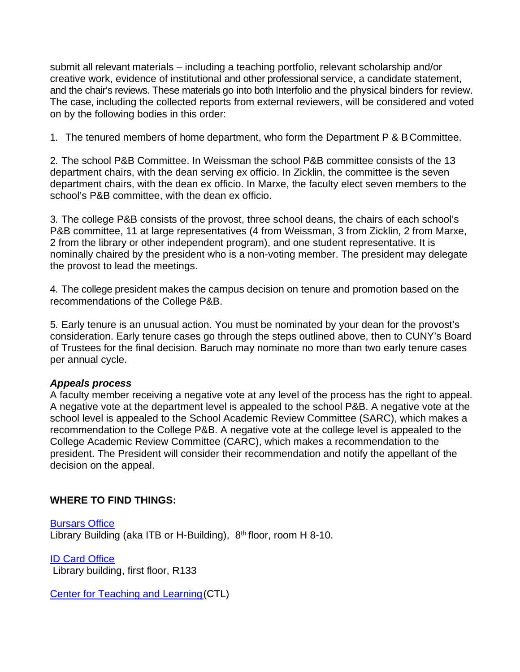submit all relevant materials – including a teaching portfolio, relevant scholarship and/or creative work, evidence of institutional and other professional service, a candidate statement, and the chair's reviews. These materials go into both Interfolio and the physical binders for review. The case, including the collected reports from external reviewers, will be considered and voted on by the following bodies in this order:

1. The tenured members of home department, who form the Department P & B Committee.

2. The school P&B Committee. In Weissman the school P&B committee consists of the 13 department chairs, with the dean serving ex officio. In Zicklin, the committee is the seven department chairs, with the dean ex officio. In Marxe, the faculty elect seven members to the school's P&B committee, with the dean ex officio.

3. The college P&B consists of the provost, three school deans, the chairs of each school's P&B committee, 11 at large representatives (4 from Weissman, 3 from Zicklin, 2 from Marxe, 2 from the library or other independent program), and one student representative. It is nominally chaired by the president who is a non-voting member. The president may delegate the provost to lead the meetings.

4. The college president makes the campus decision on tenure and promotion based on the recommendations of the College P&B.

5. Early tenure is an unusual action. You must be nominated by your dean for the provost's consideration. Early tenure cases go through the steps outlined above, then to CUNY's Board of Trustees for the final decision. Baruch may nominate no more than two early tenure cases per annual cycle.

# *Appeals process*

A faculty member receiving a negative vote at any level of the process has the right to appeal. A negative vote at the department level is appealed to the school P&B. A negative vote at the school level is appealed to the School Academic Review Committee (SARC), which makes a recommendation to the College P&B. A negative vote at the college level is appealed to the College Academic Review Committee (CARC), which makes a recommendation to the president. The President will consider their recommendation and notify the appellant of the decision on the appeal.

# **WHERE TO FIND THINGS:**

[Bursars Office](https://adminfinance.baruch.cuny.edu/bursar/) Library Building (aka ITB or H-Building), 8<sup>th</sup> floor, room H 8-10.

[ID Card Office](https://adminfinance.baruch.cuny.edu/public-safety/i-d-card-center/) Library building, first floor, R133

[Center for Teaching and Learning\(](https://blogs.baruch.cuny.edu/ctl/about-the-ctl/)CTL)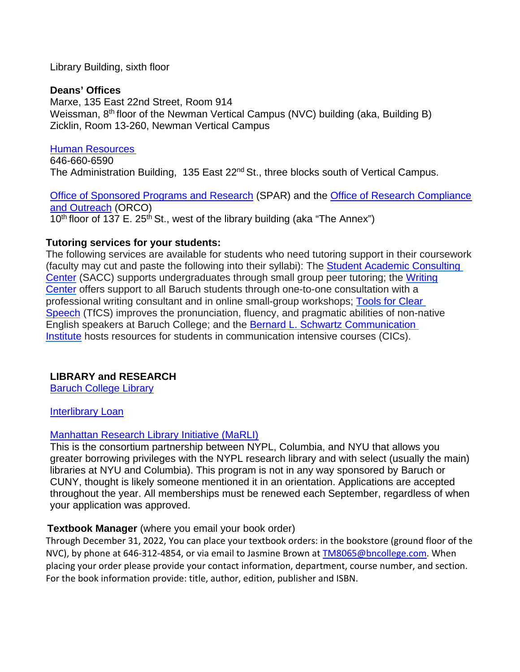#### Library Building, sixth floor

#### **Deans' Offices**

Marxe, 135 East 22nd Street, Room 914 Weissman, 8<sup>th</sup> floor of the Newman Vertical Campus (NVC) building (aka, Building B) Zicklin, Room 13-260, Newman Vertical Campus

#### [Human Resources](https://hr.baruch.cuny.edu/)

646-660-6590 The Administration Building, 135 East 22<sup>nd</sup> St., three blocks south of Vertical Campus.

#### [Office of Sponsored Programs and Research](https://spar.baruch.cuny.edu/) (SPAR) and the [Office of Research Compliance](https://orco.baruch.cuny.edu/)  [and Outreach](https://orco.baruch.cuny.edu/) (ORCO)

 $10<sup>th</sup>$  floor of 137 E. 25<sup>th</sup> St., west of the library building (aka "The Annex")

#### **Tutoring services for your students:**

The following services are available for students who need tutoring support in their coursework (faculty may cut and paste the following into their syllabi): The [Student Academic Consulting](https://sacc.baruch.cuny.edu/)  [Center](https://sacc.baruch.cuny.edu/) (SACC) supports undergraduates through small group peer tutoring; the [Writing](https://blogs.baruch.cuny.edu/writingcenter/) [Center](https://blogs.baruch.cuny.edu/writingcenter/) offers support to all Baruch students through one-to-one consultation with a professional writing consultant and in online small-group workshops; [Tools for Clear](https://tfcs.baruch.cuny.edu/)  [Speech](https://tfcs.baruch.cuny.edu/) (TfCS) improves the pronunciation, fluency, and pragmatic abilities of non-native English speakers at Baruch College; and the [Bernard L. Schwartz Communication](https://blogs.baruch.cuny.edu/blsci/)  [Institute](https://blogs.baruch.cuny.edu/blsci/) hosts resources for students in communication intensive courses (CICs).

# **LIBRARY and RESEARCH**

[Baruch College Library](https://library.baruch.cuny.edu/)

#### [Interlibrary Loan](https://ill.baruch.cuny.edu/)

## Manhattan [Research Library Initiative \(MaRLI\)](https://www.nypl.org/help/research-services/MaRLI-application)

This is the consortium partnership between NYPL, Columbia, and NYU that allows you greater borrowing privileges with the NYPL research library and with select (usually the main) libraries at NYU and Columbia). This program is not in any way sponsored by Baruch or CUNY, thought is likely someone mentioned it in an orientation. Applications are accepted throughout the year. All memberships must be renewed each September, regardless of when your application was approved.

## **Textbook Manager** (where you email your book order)

Through December 31, 2022, You can place your textbook orders: in the bookstore (ground floor of the NVC), by phone at 646-312-4854, or via email to Jasmine Brown at **TM8065@bncollege.com**. When placing your order please provide your contact information, department, course number, and section. For the book information provide: title, author, edition, publisher and ISBN.